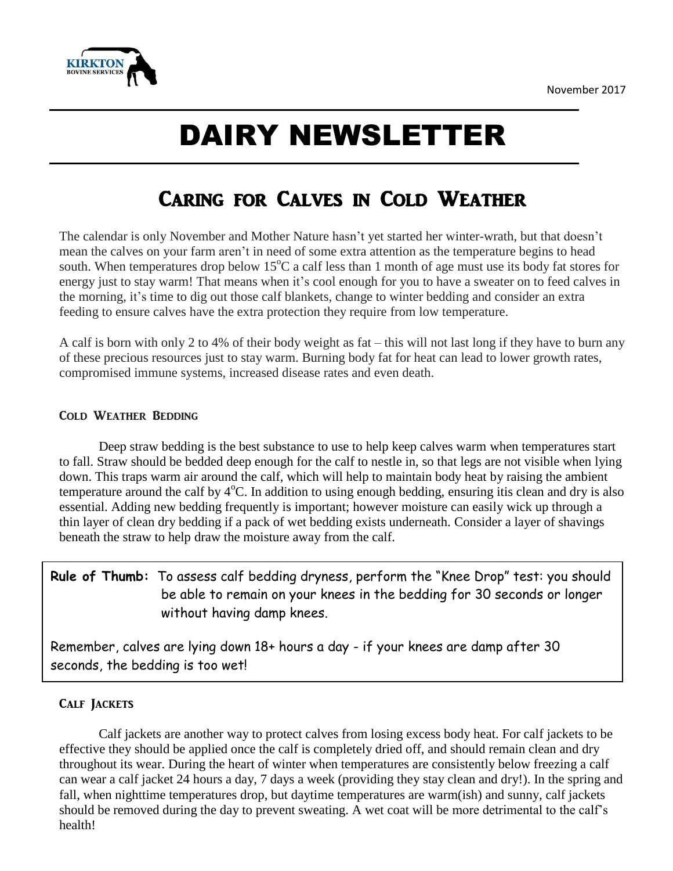

# DAIRY NEWSLETTER

# Caring for Calves in Cold Weather

The calendar is only November and Mother Nature hasn't yet started her winter-wrath, but that doesn't mean the calves on your farm aren't in need of some extra attention as the temperature begins to head south. When temperatures drop below 15<sup>o</sup>C a calf less than 1 month of age must use its body fat stores for energy just to stay warm! That means when it's cool enough for you to have a sweater on to feed calves in the morning, it's time to dig out those calf blankets, change to winter bedding and consider an extra feeding to ensure calves have the extra protection they require from low temperature.

A calf is born with only 2 to 4% of their body weight as fat – this will not last long if they have to burn any of these precious resources just to stay warm. Burning body fat for heat can lead to lower growth rates, compromised immune systems, increased disease rates and even death.

#### Cold Weather Bedding

Deep straw bedding is the best substance to use to help keep calves warm when temperatures start to fall. Straw should be bedded deep enough for the calf to nestle in, so that legs are not visible when lying down. This traps warm air around the calf, which will help to maintain body heat by raising the ambient temperature around the calf by  $4^{\circ}$ C. In addition to using enough bedding, ensuring itis clean and dry is also essential. Adding new bedding frequently is important; however moisture can easily wick up through a thin layer of clean dry bedding if a pack of wet bedding exists underneath. Consider a layer of shavings beneath the straw to help draw the moisture away from the calf.

### **Rule of Thumb:** To assess calf bedding dryness, perform the "Knee Drop" test: you should be able to remain on your knees in the bedding for 30 seconds or longer without having damp knees.

Remember, calves are lying down 18+ hours a day - if your knees are damp after 30 seconds, the bedding is too wet!

#### Calf Jackets

Calf jackets are another way to protect calves from losing excess body heat. For calf jackets to be effective they should be applied once the calf is completely dried off, and should remain clean and dry throughout its wear. During the heart of winter when temperatures are consistently below freezing a calf can wear a calf jacket 24 hours a day, 7 days a week (providing they stay clean and dry!). In the spring and fall, when nighttime temperatures drop, but daytime temperatures are warm(ish) and sunny, calf jackets should be removed during the day to prevent sweating. A wet coat will be more detrimental to the calf's health!